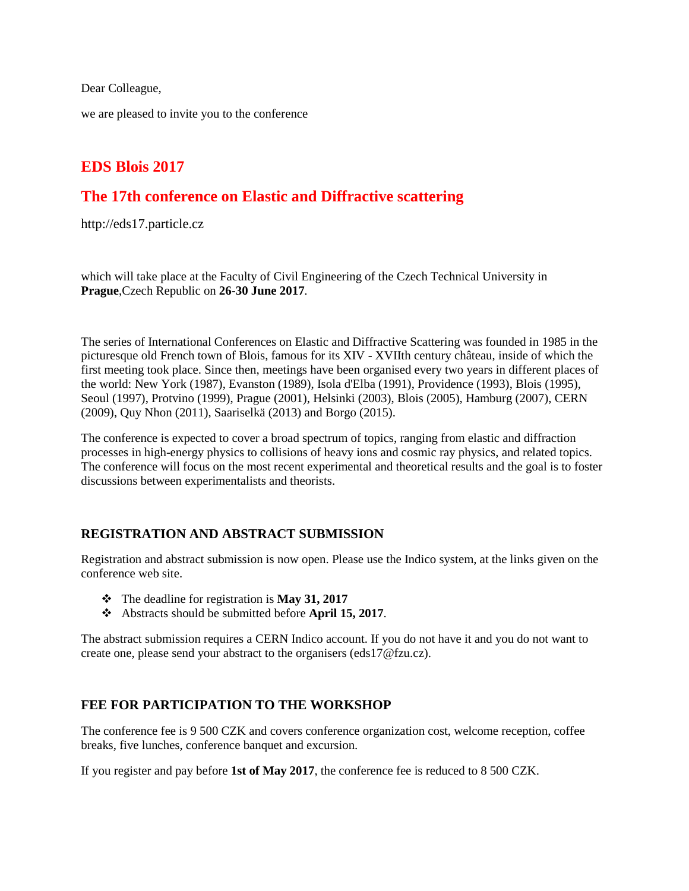Dear Colleague,

we are pleased to invite you to the conference

# **EDS Blois 2017**

# **The 17th conference on Elastic and Diffractive scattering**

http://eds17.particle.cz

which will take place at the Faculty of Civil Engineering of the Czech Technical University in **Prague**,Czech Republic on **26-30 June 2017**.

The series of International Conferences on Elastic and Diffractive Scattering was founded in 1985 in the picturesque old French town of Blois, famous for its XIV - XVIIth century château, inside of which the first meeting took place. Since then, meetings have been organised every two years in different places of the world: New York (1987), Evanston (1989), Isola d'Elba (1991), Providence (1993), Blois (1995), Seoul (1997), Protvino (1999), Prague (2001), Helsinki (2003), Blois (2005), Hamburg (2007), CERN (2009), Quy Nhon (2011), Saariselkä (2013) and Borgo (2015).

The conference is expected to cover a broad spectrum of topics, ranging from elastic and diffraction processes in high-energy physics to collisions of heavy ions and cosmic ray physics, and related topics. The conference will focus on the most recent experimental and theoretical results and the goal is to foster discussions between experimentalists and theorists.

### **REGISTRATION AND ABSTRACT SUBMISSION**

Registration and abstract submission is now open. Please use the Indico system, at the links given on the conference web site.

- The deadline for registration is **May 31, 2017**
- Abstracts should be submitted before **April 15, 2017**.

The abstract submission requires a CERN Indico account. If you do not have it and you do not want to create one, please send your abstract to the organisers (eds17@fzu.cz).

# **FEE FOR PARTICIPATION TO THE WORKSHOP**

The conference fee is 9 500 CZK and covers conference organization cost, welcome reception, coffee breaks, five lunches, conference banquet and excursion.

If you register and pay before **1st of May 2017**, the conference fee is reduced to 8 500 CZK.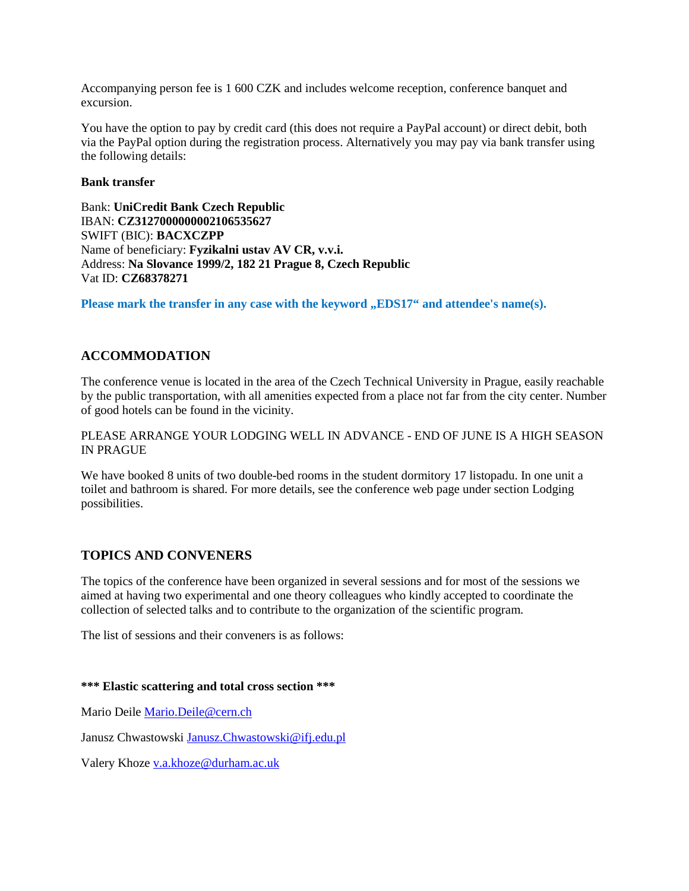Accompanying person fee is 1 600 CZK and includes welcome reception, conference banquet and excursion.

You have the option to pay by credit card (this does not require a PayPal account) or direct debit, both via the PayPal option during the registration process. Alternatively you may pay via bank transfer using the following details:

#### **Bank transfer**

Bank: **UniCredit Bank Czech Republic** IBAN: **CZ3127000000002106535627** SWIFT (BIC): **BACXCZPP** Name of beneficiary: **Fyzikalni ustav AV CR, v.v.i.** Address: **Na Slovance 1999/2, 182 21 Prague 8, Czech Republic** Vat ID: **CZ68378271**

**Please mark the transfer in any case with the keyword , EDS17" and attendee's name(s).** 

## **ACCOMMODATION**

The conference venue is located in the area of the Czech Technical University in Prague, easily reachable by the public transportation, with all amenities expected from a place not far from the city center. Number of good hotels can be found in the vicinity.

PLEASE ARRANGE YOUR LODGING WELL IN ADVANCE - END OF JUNE IS A HIGH SEASON IN PRAGUE

We have booked 8 units of two double-bed rooms in the student dormitory 17 listopadu. In one unit a toilet and bathroom is shared. For more details, see the conference web page under section Lodging possibilities.

### **TOPICS AND CONVENERS**

The topics of the conference have been organized in several sessions and for most of the sessions we aimed at having two experimental and one theory colleagues who kindly accepted to coordinate the collection of selected talks and to contribute to the organization of the scientific program.

The list of sessions and their conveners is as follows:

#### **\*\*\* Elastic scattering and total cross section \*\*\***

Mario Deile [Mario.Deile@cern.ch](mailto:Mario.Deile@cern.ch)

Janusz Chwastowski [Janusz.Chwastowski@ifj.edu.pl](mailto:Janusz.Chwastowski@ifj.edu.pl)

Valery Khoze [v.a.khoze@durham.ac.uk](mailto:v.a.khoze@durham.ac.uk)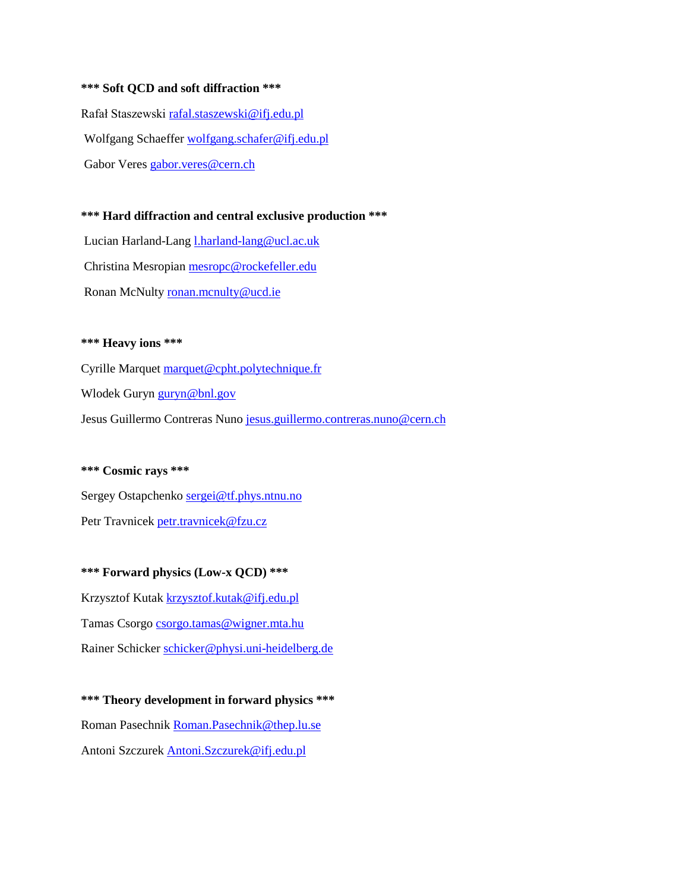#### **\*\*\* Soft QCD and soft diffraction \*\*\***

Rafał Staszewski [rafal.staszewski@ifj.edu.pl](mailto:rafal.staszewski@ifj.edu.pl) Wolfgang Schaeffer [wolfgang.schafer@ifj.edu.pl](mailto:wolfgang.schafer@ifj.edu.pl) Gabor Veres [gabor.veres@cern.ch](mailto:gabor.veres@cern.ch)

#### **\*\*\* Hard diffraction and central exclusive production \*\*\***

Lucian Harland-Lang [l.harland-lang@ucl.ac.uk](mailto:l.harland-lang@ucl.ac.uk) Christina Mesropia[n mesropc@rockefeller.edu](mailto:mesropc@rockefeller.edu) Ronan McNult[y ronan.mcnulty@ucd.ie](mailto:ronan.mcnulty@ucd.ie)

#### **\*\*\* Heavy ions \*\*\***

Cyrille Marquet [marquet@cpht.polytechnique.fr](mailto:marquet@cpht.polytechnique.fr) Wlodek Guryn [guryn@bnl.gov](mailto:guryn@bnl.gov) Jesus Guillermo Contreras Nun[o jesus.guillermo.contreras.nuno@cern.ch](mailto:jesus.guillermo.contreras.nuno@cern.ch)

#### **\*\*\* Cosmic rays \*\*\***

Sergey Ostapchenko [sergei@tf.phys.ntnu.no](mailto:sergei@tf.phys.ntnu.no) Petr Travnicek [petr.travnicek@fzu.cz](mailto:petr.travnicek@fzu.cz)

**\*\*\* Forward physics (Low-x QCD) \*\*\*** Krzysztof Kutak [krzysztof.kutak@ifj.edu.pl](mailto:krzysztof.kutak@ifj.edu.pl) Tamas Csorgo [csorgo.tamas@wigner.mta.hu](mailto:csorgo.tamas@wigner.mta.hu) Rainer Schicker [schicker@physi.uni-heidelberg.de](mailto:schicker@physi.uni-heidelberg.de)

**\*\*\* Theory development in forward physics \*\*\*** Roman Pasechnik [Roman.Pasechnik@thep.lu.se](mailto:Roman.Pasechnik@thep.lu.se) Antoni Szczurek [Antoni.Szczurek@ifj.edu.pl](mailto:Antoni.Szczurek@ifj.edu.pl)